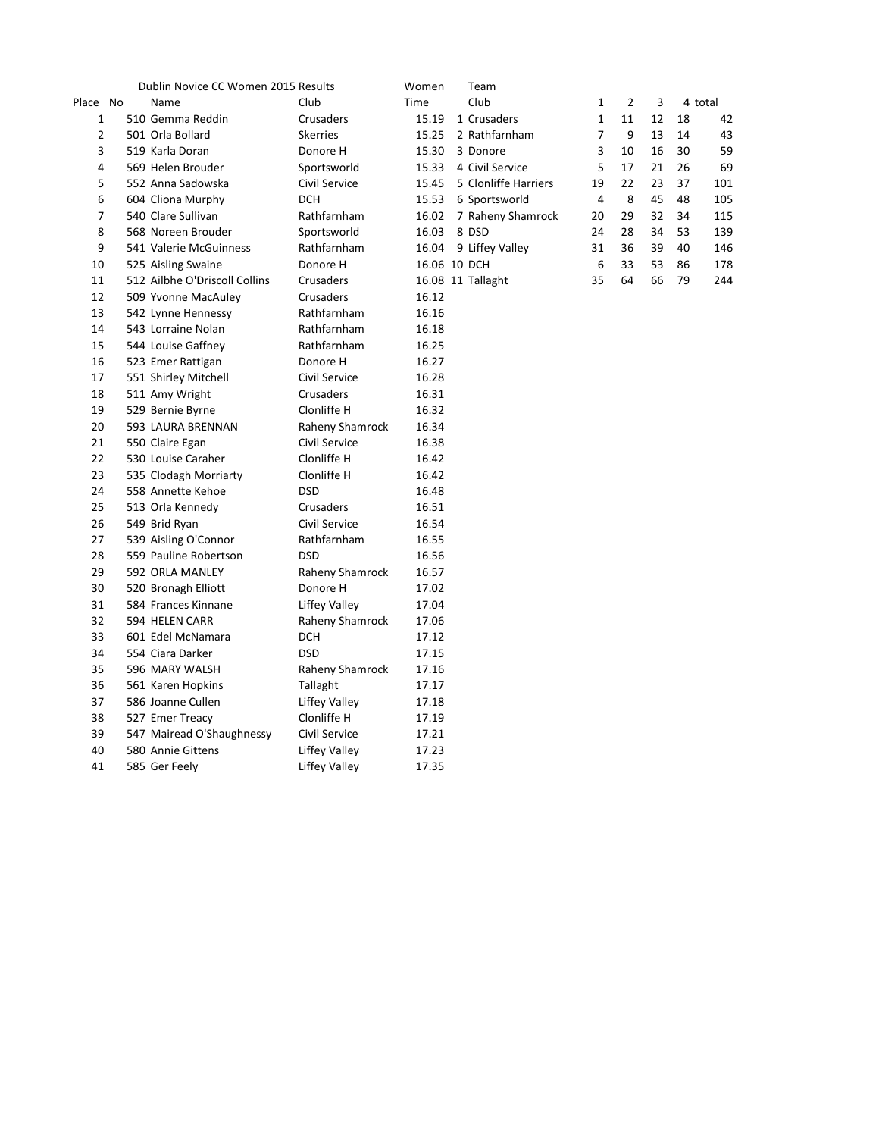|                | Dublin Novice CC Women 2015 Results |                      | Women        | Team                 |                |                |    |    |         |
|----------------|-------------------------------------|----------------------|--------------|----------------------|----------------|----------------|----|----|---------|
| Place No       | Name                                | Club                 | Time         | Club                 | $\mathbf{1}$   | $\overline{2}$ | 3  |    | 4 total |
| 1              | 510 Gemma Reddin                    | Crusaders            | 15.19        | 1 Crusaders          | 1              | 11             | 12 | 18 | 42      |
| $\overline{2}$ | 501 Orla Bollard                    | <b>Skerries</b>      | 15.25        | 2 Rathfarnham        | $\overline{7}$ | 9              | 13 | 14 | 43      |
| 3              | 519 Karla Doran                     | Donore H             | 15.30        | 3 Donore             | 3              | 10             | 16 | 30 | 59      |
| 4              | 569 Helen Brouder                   | Sportsworld          | 15.33        | 4 Civil Service      | 5              | 17             | 21 | 26 | 69      |
| 5              | 552 Anna Sadowska                   | Civil Service        | 15.45        | 5 Clonliffe Harriers | 19             | 22             | 23 | 37 | 101     |
| 6              | 604 Cliona Murphy                   | <b>DCH</b>           | 15.53        | 6 Sportsworld        | $\overline{4}$ | 8              | 45 | 48 | 105     |
| $\overline{7}$ | 540 Clare Sullivan                  | Rathfarnham          | 16.02        | 7 Raheny Shamrock    | 20             | 29             | 32 | 34 | 115     |
| 8              | 568 Noreen Brouder                  | Sportsworld          | 16.03        | 8 DSD                | 24             | 28             | 34 | 53 | 139     |
| 9              | 541 Valerie McGuinness              | Rathfarnham          | 16.04        | 9 Liffey Valley      | 31             | 36             | 39 | 40 | 146     |
| 10             | 525 Aisling Swaine                  | Donore H             | 16.06 10 DCH |                      | 6              | 33             | 53 | 86 | 178     |
| 11             | 512 Ailbhe O'Driscoll Collins       | Crusaders            |              | 16.08 11 Tallaght    | 35             | 64             | 66 | 79 | 244     |
| 12             | 509 Yvonne MacAuley                 | Crusaders            | 16.12        |                      |                |                |    |    |         |
| 13             | 542 Lynne Hennessy                  | Rathfarnham          | 16.16        |                      |                |                |    |    |         |
| 14             | 543 Lorraine Nolan                  | Rathfarnham          | 16.18        |                      |                |                |    |    |         |
| 15             | 544 Louise Gaffney                  | Rathfarnham          | 16.25        |                      |                |                |    |    |         |
| 16             | 523 Emer Rattigan                   | Donore H             | 16.27        |                      |                |                |    |    |         |
| 17             | 551 Shirley Mitchell                | Civil Service        | 16.28        |                      |                |                |    |    |         |
| 18             | 511 Amy Wright                      | Crusaders            | 16.31        |                      |                |                |    |    |         |
| 19             | 529 Bernie Byrne                    | Clonliffe H          | 16.32        |                      |                |                |    |    |         |
| 20             | 593 LAURA BRENNAN                   | Raheny Shamrock      | 16.34        |                      |                |                |    |    |         |
| 21             | 550 Claire Egan                     | Civil Service        | 16.38        |                      |                |                |    |    |         |
| 22             | 530 Louise Caraher                  | Clonliffe H          | 16.42        |                      |                |                |    |    |         |
| 23             | 535 Clodagh Morriarty               | Clonliffe H          | 16.42        |                      |                |                |    |    |         |
| 24             | 558 Annette Kehoe                   | <b>DSD</b>           | 16.48        |                      |                |                |    |    |         |
| 25             | 513 Orla Kennedy                    | Crusaders            | 16.51        |                      |                |                |    |    |         |
| 26             | 549 Brid Ryan                       | Civil Service        | 16.54        |                      |                |                |    |    |         |
| 27             | 539 Aisling O'Connor                | Rathfarnham          | 16.55        |                      |                |                |    |    |         |
| 28             | 559 Pauline Robertson               | <b>DSD</b>           | 16.56        |                      |                |                |    |    |         |
| 29             | 592 ORLA MANLEY                     | Raheny Shamrock      | 16.57        |                      |                |                |    |    |         |
| 30             | 520 Bronagh Elliott                 | Donore H             | 17.02        |                      |                |                |    |    |         |
| 31             | 584 Frances Kinnane                 | Liffey Valley        | 17.04        |                      |                |                |    |    |         |
| 32             | 594 HELEN CARR                      | Raheny Shamrock      | 17.06        |                      |                |                |    |    |         |
| 33             | 601 Edel McNamara                   | <b>DCH</b>           | 17.12        |                      |                |                |    |    |         |
| 34             | 554 Ciara Darker                    | <b>DSD</b>           | 17.15        |                      |                |                |    |    |         |
| 35             | 596 MARY WALSH                      | Raheny Shamrock      | 17.16        |                      |                |                |    |    |         |
| 36             | 561 Karen Hopkins                   | Tallaght             | 17.17        |                      |                |                |    |    |         |
| 37             | 586 Joanne Cullen                   | <b>Liffey Valley</b> | 17.18        |                      |                |                |    |    |         |
| 38             | 527 Emer Treacy                     | Clonliffe H          | 17.19        |                      |                |                |    |    |         |
| 39             | 547 Mairead O'Shaughnessy           | Civil Service        | 17.21        |                      |                |                |    |    |         |
| 40             | 580 Annie Gittens                   | Liffey Valley        | 17.23        |                      |                |                |    |    |         |
| 41             | 585 Ger Feely                       | <b>Liffey Valley</b> | 17.35        |                      |                |                |    |    |         |

| Team                 |    |    |    |    |         |
|----------------------|----|----|----|----|---------|
| Club                 | 1  | 2  | 3  |    | 4 total |
| 1 Crusaders          | 1  | 11 | 12 | 18 | 42      |
| 2 Rathfarnham        | 7  | 9  | 13 | 14 | 43      |
| 3 Donore             | 3  | 10 | 16 | 30 | 59      |
| 4 Civil Service      | 5  | 17 | 21 | 26 | 69      |
| 5 Clonliffe Harriers | 19 | 22 | 23 | 37 | 101     |
| 6 Sportsworld        | 4  | 8  | 45 | 48 | 105     |
| 7 Raheny Shamrock    | 20 | 29 | 32 | 34 | 115     |
| 8 DSD                | 24 | 28 | 34 | 53 | 139     |
| 9 Liffey Valley      | 31 | 36 | 39 | 40 | 146     |
| 10 DCH               | 6  | 33 | 53 | 86 | 178     |
| 11 Tallaght          | 35 | 64 | 66 | 79 | 244     |
|                      |    |    |    |    |         |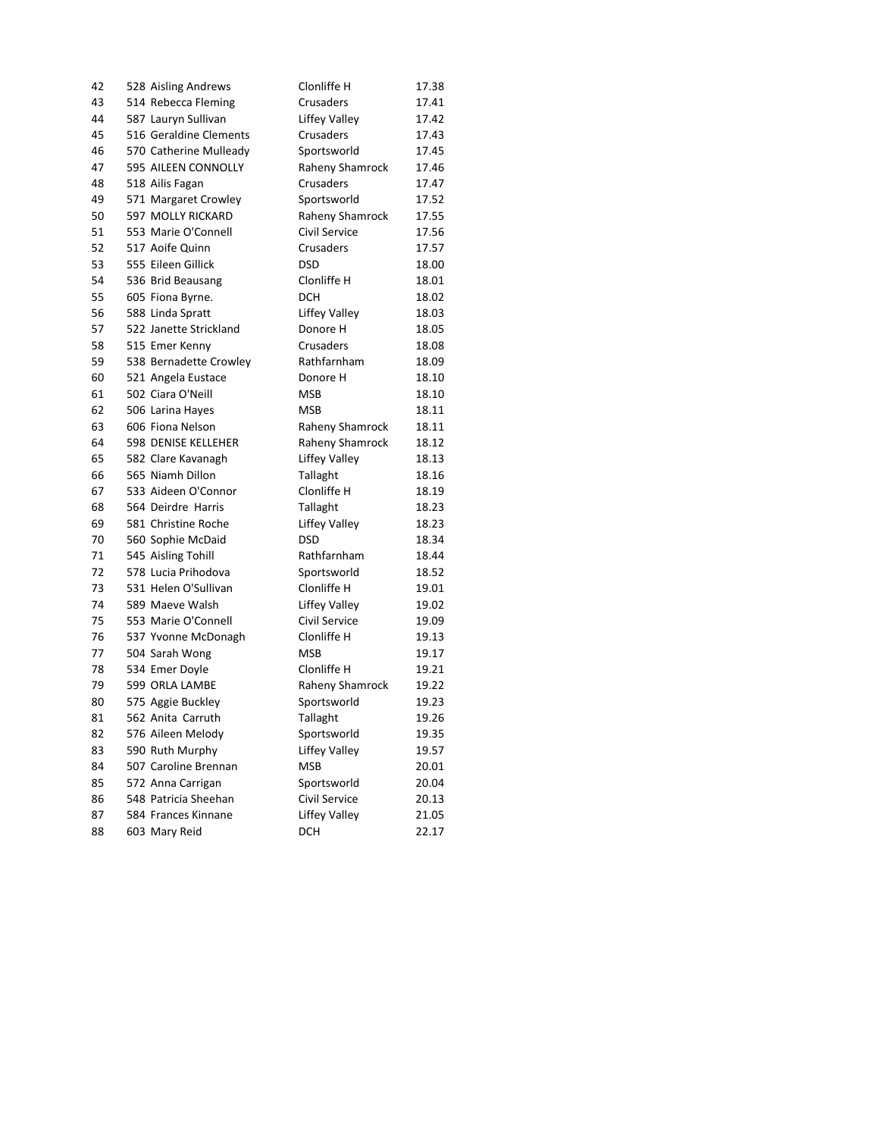| 42 | 528 Aisling Andrews        | Clonliffe H          | 17.38 |
|----|----------------------------|----------------------|-------|
| 43 | 514 Rebecca Fleming        | Crusaders            | 17.41 |
| 44 | 587 Lauryn Sullivan        | Liffey Valley        | 17.42 |
| 45 | 516 Geraldine Clements     | Crusaders            | 17.43 |
| 46 | 570 Catherine Mulleady     | Sportsworld          | 17.45 |
| 47 | 595 AILEEN CONNOLLY        | Raheny Shamrock      | 17.46 |
| 48 | 518 Ailis Fagan            | Crusaders            | 17.47 |
| 49 | 571 Margaret Crowley       | Sportsworld          | 17.52 |
| 50 | 597 MOLLY RICKARD          | Raheny Shamrock      | 17.55 |
| 51 | 553 Marie O'Connell        | Civil Service        | 17.56 |
| 52 | 517 Aoife Quinn            | Crusaders            | 17.57 |
| 53 | 555 Eileen Gillick         | <b>DSD</b>           | 18.00 |
| 54 | 536 Brid Beausang          | Clonliffe H          | 18.01 |
| 55 | 605 Fiona Byrne.           | <b>DCH</b>           | 18.02 |
| 56 | 588 Linda Spratt           | Liffey Valley        | 18.03 |
| 57 | 522 Janette Strickland     | Donore H             | 18.05 |
| 58 | 515 Emer Kenny             | Crusaders            | 18.08 |
| 59 | 538 Bernadette Crowley     | Rathfarnham          | 18.09 |
| 60 | 521 Angela Eustace         | Donore H             | 18.10 |
| 61 | 502 Ciara O'Neill          | <b>MSB</b>           | 18.10 |
|    |                            | <b>MSB</b>           |       |
| 62 | 506 Larina Hayes           |                      | 18.11 |
| 63 | 606 Fiona Nelson           | Raheny Shamrock      | 18.11 |
| 64 | <b>598 DENISE KELLEHER</b> | Raheny Shamrock      | 18.12 |
| 65 | 582 Clare Kavanagh         | Liffey Valley        | 18.13 |
| 66 | 565 Niamh Dillon           | Tallaght             | 18.16 |
| 67 | 533 Aideen O'Connor        | Clonliffe H          | 18.19 |
| 68 | 564 Deirdre Harris         | Tallaght             | 18.23 |
| 69 | 581 Christine Roche        | Liffey Valley        | 18.23 |
| 70 | 560 Sophie McDaid          | <b>DSD</b>           | 18.34 |
| 71 | 545 Aisling Tohill         | Rathfarnham          | 18.44 |
| 72 | 578 Lucia Prihodova        | Sportsworld          | 18.52 |
| 73 | 531 Helen O'Sullivan       | Clonliffe H          | 19.01 |
| 74 | 589 Maeve Walsh            | Liffey Valley        | 19.02 |
| 75 | 553 Marie O'Connell        | Civil Service        | 19.09 |
| 76 | 537 Yvonne McDonagh        | Clonliffe H          | 19.13 |
| 77 | 504 Sarah Wong             | <b>MSB</b>           | 19.17 |
| 78 | 534 Emer Doyle             | Clonliffe H          | 19.21 |
| 79 | 599 ORLA LAMBE             | Raheny Shamrock      | 19.22 |
| 80 | 575 Aggie Buckley          | Sportsworld          | 19.23 |
| 81 | 562 Anita Carruth          | Tallaght             | 19.26 |
| 82 | 576 Aileen Melody          | Sportsworld          | 19.35 |
| 83 | 590 Ruth Murphy            | Liffey Valley        | 19.57 |
| 84 | 507 Caroline Brennan       | MSB                  | 20.01 |
| 85 | 572 Anna Carrigan          | Sportsworld          | 20.04 |
| 86 | 548 Patricia Sheehan       | Civil Service        | 20.13 |
| 87 | 584 Frances Kinnane        | <b>Liffey Valley</b> | 21.05 |
| 88 | 603 Mary Reid              | <b>DCH</b>           | 22.17 |
|    |                            |                      |       |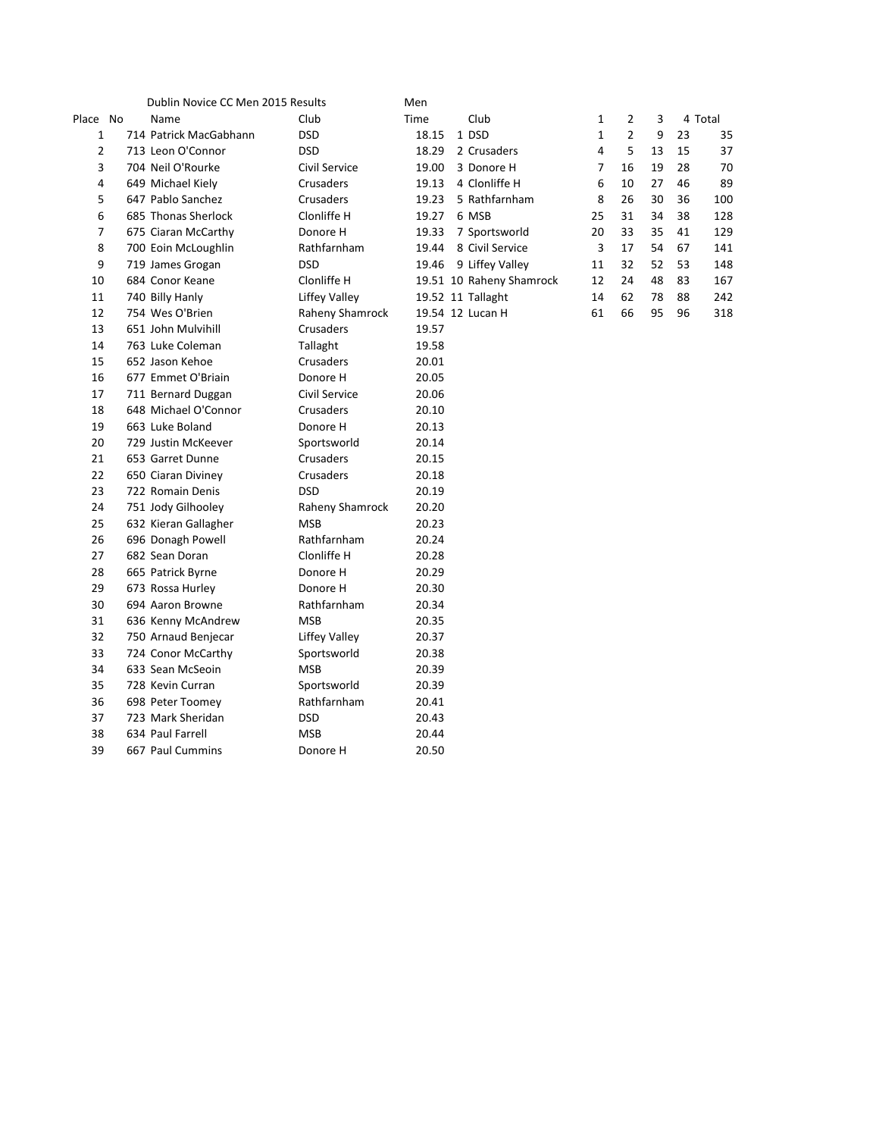|                | Dublin Novice CC Men 2015 Results |                      | Men   |                          |                |                |    |    |         |
|----------------|-----------------------------------|----------------------|-------|--------------------------|----------------|----------------|----|----|---------|
| Place No       | Name                              | Club                 | Time  | Club                     | 1              | 2              | 3  |    | 4 Total |
| 1              | 714 Patrick MacGabhann            | <b>DSD</b>           | 18.15 | 1 DSD                    | $\mathbf{1}$   | $\overline{2}$ | 9  | 23 | 35      |
| $\overline{2}$ | 713 Leon O'Connor                 | <b>DSD</b>           | 18.29 | 2 Crusaders              | $\pmb{4}$      | 5              | 13 | 15 | 37      |
| 3              | 704 Neil O'Rourke                 | Civil Service        | 19.00 | 3 Donore H               | $\overline{7}$ | 16             | 19 | 28 | 70      |
| 4              | 649 Michael Kiely                 | Crusaders            | 19.13 | 4 Clonliffe H            | 6              | 10             | 27 | 46 | 89      |
| 5              | 647 Pablo Sanchez                 | Crusaders            | 19.23 | 5 Rathfarnham            | 8              | 26             | 30 | 36 | 100     |
| 6              | 685 Thonas Sherlock               | Clonliffe H          | 19.27 | 6 MSB                    | 25             | 31             | 34 | 38 | 128     |
| 7              | 675 Ciaran McCarthy               | Donore H             | 19.33 | 7 Sportsworld            | 20             | 33             | 35 | 41 | 129     |
| 8              | 700 Eoin McLoughlin               | Rathfarnham          | 19.44 | 8 Civil Service          | 3              | 17             | 54 | 67 | 141     |
| 9              | 719 James Grogan                  | <b>DSD</b>           | 19.46 | 9 Liffey Valley          | 11             | 32             | 52 | 53 | 148     |
| 10             | 684 Conor Keane                   | Clonliffe H          |       | 19.51 10 Raheny Shamrock | 12             | 24             | 48 | 83 | 167     |
| 11             | 740 Billy Hanly                   | <b>Liffey Valley</b> |       | 19.52 11 Tallaght        | 14             | 62             | 78 | 88 | 242     |
| 12             | 754 Wes O'Brien                   | Raheny Shamrock      |       | 19.54 12 Lucan H         | 61             | 66             | 95 | 96 | 318     |
| 13             | 651 John Mulvihill                | Crusaders            | 19.57 |                          |                |                |    |    |         |
| 14             | 763 Luke Coleman                  | Tallaght             | 19.58 |                          |                |                |    |    |         |
| 15             | 652 Jason Kehoe                   | Crusaders            | 20.01 |                          |                |                |    |    |         |
| 16             | 677 Emmet O'Briain                | Donore H             | 20.05 |                          |                |                |    |    |         |
| 17             | 711 Bernard Duggan                | Civil Service        | 20.06 |                          |                |                |    |    |         |
| 18             | 648 Michael O'Connor              | Crusaders            | 20.10 |                          |                |                |    |    |         |
| 19             | 663 Luke Boland                   | Donore H             | 20.13 |                          |                |                |    |    |         |
| 20             | 729 Justin McKeever               | Sportsworld          | 20.14 |                          |                |                |    |    |         |
| 21             | 653 Garret Dunne                  | Crusaders            | 20.15 |                          |                |                |    |    |         |
| 22             | 650 Ciaran Diviney                | Crusaders            | 20.18 |                          |                |                |    |    |         |
| 23             | 722 Romain Denis                  | <b>DSD</b>           | 20.19 |                          |                |                |    |    |         |
| 24             | 751 Jody Gilhooley                | Raheny Shamrock      | 20.20 |                          |                |                |    |    |         |
| 25             | 632 Kieran Gallagher              | <b>MSB</b>           | 20.23 |                          |                |                |    |    |         |
| 26             | 696 Donagh Powell                 | Rathfarnham          | 20.24 |                          |                |                |    |    |         |
| 27             | 682 Sean Doran                    | Clonliffe H          | 20.28 |                          |                |                |    |    |         |
| 28             | 665 Patrick Byrne                 | Donore H             | 20.29 |                          |                |                |    |    |         |
| 29             | 673 Rossa Hurley                  | Donore H             | 20.30 |                          |                |                |    |    |         |
| 30             | 694 Aaron Browne                  | Rathfarnham          | 20.34 |                          |                |                |    |    |         |
| 31             | 636 Kenny McAndrew                | <b>MSB</b>           | 20.35 |                          |                |                |    |    |         |
| 32             | 750 Arnaud Benjecar               | <b>Liffey Valley</b> | 20.37 |                          |                |                |    |    |         |
| 33             | 724 Conor McCarthy                | Sportsworld          | 20.38 |                          |                |                |    |    |         |
| 34             | 633 Sean McSeoin                  | <b>MSB</b>           | 20.39 |                          |                |                |    |    |         |
| 35             | 728 Kevin Curran                  | Sportsworld          | 20.39 |                          |                |                |    |    |         |
| 36             | 698 Peter Toomey                  | Rathfarnham          | 20.41 |                          |                |                |    |    |         |
| 37             | 723 Mark Sheridan                 | <b>DSD</b>           | 20.43 |                          |                |                |    |    |         |
| 38             | 634 Paul Farrell                  | <b>MSB</b>           | 20.44 |                          |                |                |    |    |         |
| 39             | 667 Paul Cummins                  | Donore H             | 20.50 |                          |                |                |    |    |         |

| 1  | 2              | 3  |    | 4 Total |
|----|----------------|----|----|---------|
| 1  | $\overline{2}$ | 9  | 23 | 35      |
| 4  | 5              | 13 | 15 | 37      |
| 7  | 16             | 19 | 28 | 70      |
| 6  | 10             | 27 | 46 | 89      |
| 8  | 26             | 30 | 36 | 100     |
| 25 | 31             | 34 | 38 | 128     |
| 20 | 33             | 35 | 41 | 129     |
| 3  | 17             | 54 | 67 | 141     |
| 11 | 32             | 52 | 53 | 148     |
| 12 | 24             | 48 | 83 | 167     |
| 14 | 62             | 78 | 88 | 242     |
| 61 | 66             | 95 | 96 | 318     |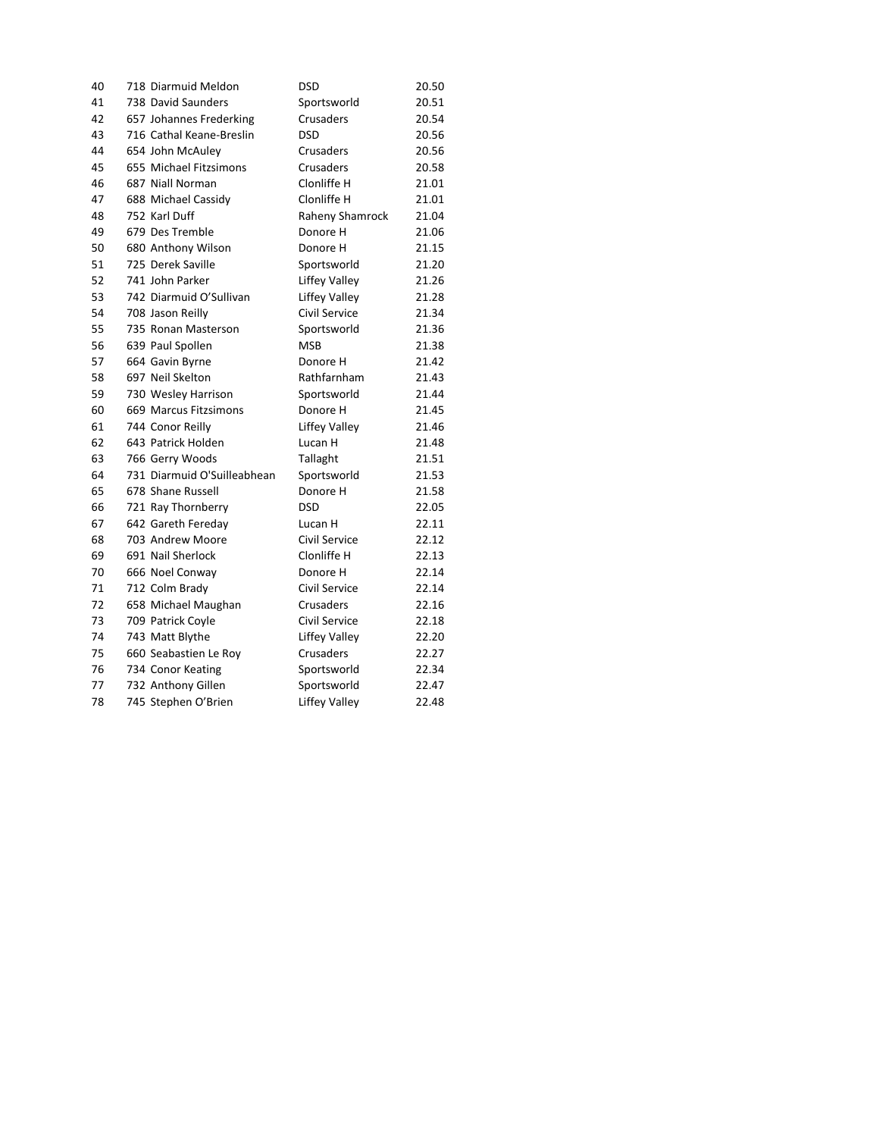| 40 | 718 Diarmuid Meldon         | <b>DSD</b>           | 20.50 |
|----|-----------------------------|----------------------|-------|
| 41 | 738 David Saunders          | Sportsworld          | 20.51 |
| 42 | 657 Johannes Frederking     | Crusaders            | 20.54 |
| 43 | 716 Cathal Keane-Breslin    | <b>DSD</b>           | 20.56 |
| 44 | 654 John McAuley            | Crusaders            | 20.56 |
| 45 | 655 Michael Fitzsimons      | Crusaders            | 20.58 |
| 46 | 687 Niall Norman            | Clonliffe H          | 21.01 |
| 47 | 688 Michael Cassidy         | Clonliffe H          | 21.01 |
| 48 | 752 Karl Duff               | Raheny Shamrock      | 21.04 |
| 49 | 679 Des Tremble             | Donore H             | 21.06 |
| 50 | 680 Anthony Wilson          | Donore H             | 21.15 |
| 51 | 725 Derek Saville           | Sportsworld          | 21.20 |
| 52 | 741 John Parker             | <b>Liffey Valley</b> | 21.26 |
| 53 | 742 Diarmuid O'Sullivan     | <b>Liffey Valley</b> | 21.28 |
| 54 | 708 Jason Reilly            | Civil Service        | 21.34 |
| 55 | 735 Ronan Masterson         | Sportsworld          | 21.36 |
| 56 | 639 Paul Spollen            | <b>MSB</b>           | 21.38 |
| 57 | 664 Gavin Byrne             | Donore H             | 21.42 |
| 58 | 697 Neil Skelton            | Rathfarnham          | 21.43 |
| 59 | 730 Wesley Harrison         | Sportsworld          | 21.44 |
| 60 | 669 Marcus Fitzsimons       | Donore H             | 21.45 |
| 61 | 744 Conor Reilly            | Liffey Valley        | 21.46 |
| 62 | 643 Patrick Holden          | Lucan H              | 21.48 |
| 63 | 766 Gerry Woods             | Tallaght             | 21.51 |
| 64 | 731 Diarmuid O'Suilleabhean | Sportsworld          | 21.53 |
| 65 | 678 Shane Russell           | Donore H             | 21.58 |
| 66 | 721 Ray Thornberry          | <b>DSD</b>           | 22.05 |
| 67 | 642 Gareth Fereday          | Lucan H              | 22.11 |
| 68 | 703 Andrew Moore            | Civil Service        | 22.12 |
| 69 | 691 Nail Sherlock           | Clonliffe H          | 22.13 |
| 70 | 666 Noel Conway             | Donore H             | 22.14 |
| 71 | 712 Colm Brady              | Civil Service        | 22.14 |
| 72 | 658 Michael Maughan         | Crusaders            | 22.16 |
| 73 | 709 Patrick Coyle           | Civil Service        | 22.18 |
| 74 | 743 Matt Blythe             | <b>Liffey Valley</b> | 22.20 |
| 75 | 660 Seabastien Le Roy       | Crusaders            | 22.27 |
| 76 | 734 Conor Keating           | Sportsworld          | 22.34 |
| 77 | 732 Anthony Gillen          | Sportsworld          | 22.47 |
| 78 | 745 Stephen O'Brien         | <b>Liffey Valley</b> | 22.48 |
|    |                             |                      |       |